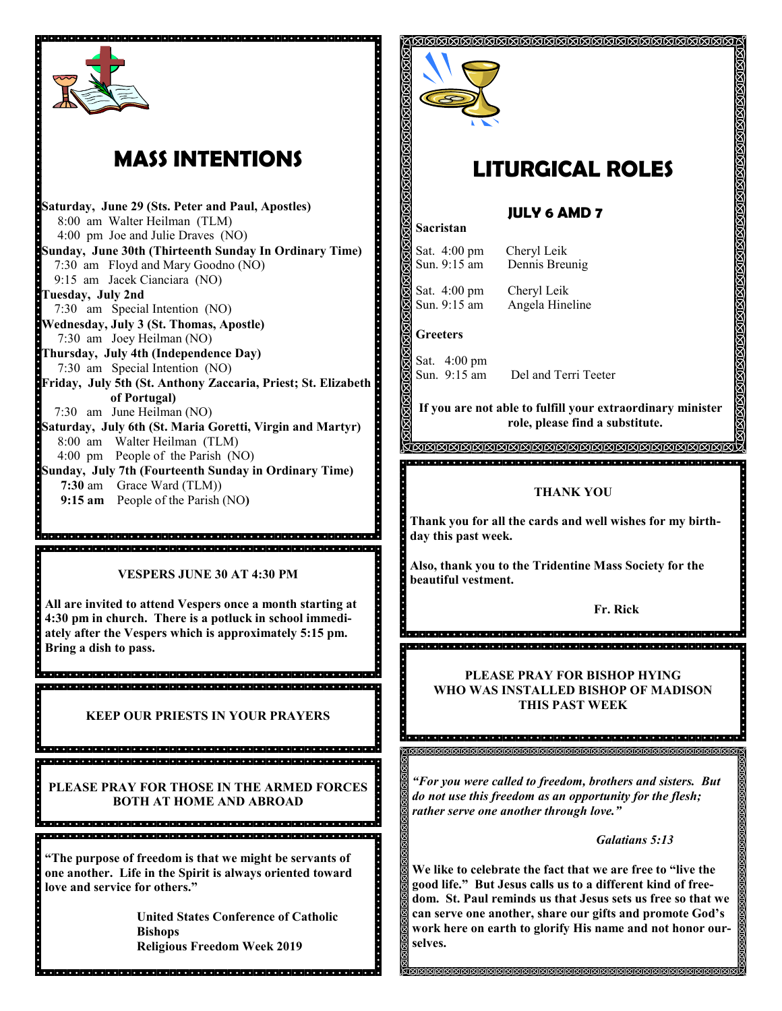

# **MASS INTENTIONS**

**Saturday, June 29 (Sts. Peter and Paul, Apostles)** 8:00 am Walter Heilman (TLM) 4:00 pm Joe and Julie Draves (NO) **Sunday, June 30th (Thirteenth Sunday In Ordinary Time)** 7:30 am Floyd and Mary Goodno (NO) 9:15 am Jacek Cianciara (NO) **Tuesday, July 2nd**  7:30 am Special Intention (NO) **Wednesday, July 3 (St. Thomas, Apostle)** 7:30 am Joey Heilman (NO) **Thursday, July 4th (Independence Day)** 7:30 am Special Intention (NO) **Friday, July 5th (St. Anthony Zaccaria, Priest; St. Elizabeth of Portugal)** 7:30 am June Heilman (NO) **Saturday, July 6th (St. Maria Goretti, Virgin and Martyr)** 8:00 am Walter Heilman (TLM) 4:00 pm People of the Parish (NO) **Sunday, July 7th (Fourteenth Sunday in Ordinary Time) 7:30** am Grace Ward (TLM)) **9:15 am** People of the Parish (NO**)**

**VESPERS JUNE 30 AT 4:30 PM**

**All are invited to attend Vespers once a month starting at 4:30 pm in church. There is a potluck in school immediately after the Vespers which is approximately 5:15 pm. Bring a dish to pass.**

i di dia kitabila kitabi di dia kitabila da kitabila kitabila kitabila kitabila kitabila kitabila kitabila kita

.<br>A cielo de la lata del alabela de la lata de la lata de la lata de la lata de la lata de la lata de la lata de

<u>. In the second control of the second second in the second second second second second second second second se</u>

**KEEP OUR PRIESTS IN YOUR PRAYERS**

**PLEASE PRAY FOR THOSE IN THE ARMED FORCES BOTH AT HOME AND ABROAD** 

**"The purpose of freedom is that we might be servants of one another. Life in the Spirit is always oriented toward love and service for others."**

**United States Conference of Catholic Bishops Religious Freedom Week 2019**



# **LITURGICAL ROLES**

## **JULY 6 AMD 7**

Sat. 4:00 pm Cheryl Leik Sun. 9:15 am Dennis Breunig

Sat. 4:00 pm Cheryl Leik Sun. 9:15 am Angela Hineline

**Greeters**

**Sacristan**

Sat. 4:00 pm Sun. 9:15 am Del and Terri Teeter

**If you are not able to fulfill your extraordinary minister role, please find a substitute.** 

**MMMMMMMMMMMMMMMMMMMMM** 

#### **THANK YOU**

**Thank you for all the cards and well wishes for my birthday this past week.**

**Also, thank you to the Tridentine Mass Society for the beautiful vestment.**

**Fr. Rick**

**PLEASE PRAY FOR BISHOP HYING WHO WAS INSTALLED BISHOP OF MADISON THIS PAST WEEK** 

*"For you were called to freedom, brothers and sisters. But do not use this freedom as an opportunity for the flesh; rather serve one another through love."*

।<br>।<br>ଜାବାବାବାବାବାବାବାବାବାବାବାବାବାବାବାବାବାବା

#### *Galatians 5:13*

**We like to celebrate the fact that we are free to "live the good life." But Jesus calls us to a different kind of freedom. St. Paul reminds us that Jesus sets us free so that we can serve one another, share our gifts and promote God's work here on earth to glorify His name and not honor ourselves.**